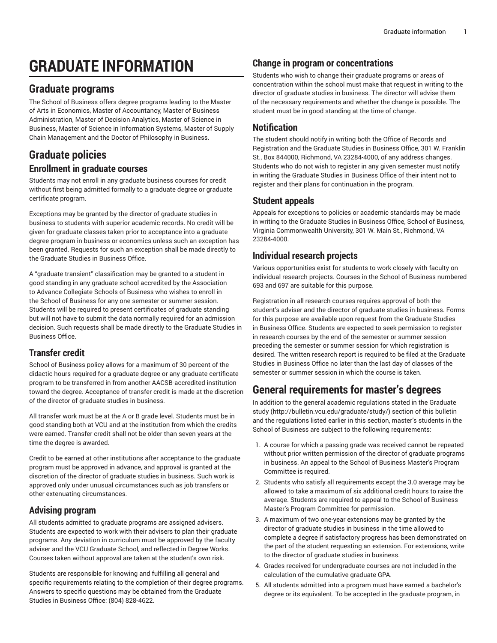# **GRADUATE INFORMATION**

## **Graduate programs**

The School of Business offers degree programs leading to the Master of Arts in Economics, Master of Accountancy, Master of Business Administration, Master of Decision Analytics, Master of Science in Business, Master of Science in Information Systems, Master of Supply Chain Management and the Doctor of Philosophy in Business.

## **Graduate policies**

#### **Enrollment in graduate courses**

Students may not enroll in any graduate business courses for credit without first being admitted formally to a graduate degree or graduate certificate program.

Exceptions may be granted by the director of graduate studies in business to students with superior academic records. No credit will be given for graduate classes taken prior to acceptance into a graduate degree program in business or economics unless such an exception has been granted. Requests for such an exception shall be made directly to the Graduate Studies in Business Office.

A "graduate transient" classification may be granted to a student in good standing in any graduate school accredited by the Association to Advance Collegiate Schools of Business who wishes to enroll in the School of Business for any one semester or summer session. Students will be required to present certificates of graduate standing but will not have to submit the data normally required for an admission decision. Such requests shall be made directly to the Graduate Studies in Business Office.

#### **Transfer credit**

School of Business policy allows for a maximum of 30 percent of the didactic hours required for a graduate degree or any graduate certificate program to be transferred in from another AACSB-accredited institution toward the degree. Acceptance of transfer credit is made at the discretion of the director of graduate studies in business.

All transfer work must be at the A or B grade level. Students must be in good standing both at VCU and at the institution from which the credits were earned. Transfer credit shall not be older than seven years at the time the degree is awarded.

Credit to be earned at other institutions after acceptance to the graduate program must be approved in advance, and approval is granted at the discretion of the director of graduate studies in business. Such work is approved only under unusual circumstances such as job transfers or other extenuating circumstances.

### **Advising program**

All students admitted to graduate programs are assigned advisers. Students are expected to work with their advisers to plan their graduate programs. Any deviation in curriculum must be approved by the faculty adviser and the VCU Graduate School, and reflected in Degree Works. Courses taken without approval are taken at the student's own risk.

Students are responsible for knowing and fulfilling all general and specific requirements relating to the completion of their degree programs. Answers to specific questions may be obtained from the Graduate Studies in Business Office: (804) 828-4622.

#### **Change in program or concentrations**

Students who wish to change their graduate programs or areas of concentration within the school must make that request in writing to the director of graduate studies in business. The director will advise them of the necessary requirements and whether the change is possible. The student must be in good standing at the time of change.

#### **Notification**

The student should notify in writing both the Office of Records and Registration and the Graduate Studies in Business Office, 301 W. Franklin St., Box 844000, Richmond, VA 23284-4000, of any address changes. Students who do not wish to register in any given semester must notify in writing the Graduate Studies in Business Office of their intent not to register and their plans for continuation in the program.

#### **Student appeals**

Appeals for exceptions to policies or academic standards may be made in writing to the Graduate Studies in Business Office, School of Business, Virginia Commonwealth University, 301 W. Main St., Richmond, VA 23284-4000.

#### **Individual research projects**

Various opportunities exist for students to work closely with faculty on individual research projects. Courses in the School of Business numbered 693 and 697 are suitable for this purpose.

Registration in all research courses requires approval of both the student's adviser and the director of graduate studies in business. Forms for this purpose are available upon request from the Graduate Studies in Business Office. Students are expected to seek permission to register in research courses by the end of the semester or summer session preceding the semester or summer session for which registration is desired. The written research report is required to be filed at the Graduate Studies in Business Office no later than the last day of classes of the semester or summer session in which the course is taken.

## **General requirements for master's degrees**

In addition to the general academic regulations stated in the [Graduate](http://bulletin.vcu.edu/graduate/study/) [study](http://bulletin.vcu.edu/graduate/study/) [\(http://bulletin.vcu.edu/graduate/study/](http://bulletin.vcu.edu/graduate/study/)) section of this bulletin and the regulations listed earlier in this section, master's students in the School of Business are subject to the following requirements:

- 1. A course for which a passing grade was received cannot be repeated without prior written permission of the director of graduate programs in business. An appeal to the School of Business Master's Program Committee is required.
- 2. Students who satisfy all requirements except the 3.0 average may be allowed to take a maximum of six additional credit hours to raise the average. Students are required to appeal to the School of Business Master's Program Committee for permission.
- 3. A maximum of two one-year extensions may be granted by the director of graduate studies in business in the time allowed to complete a degree if satisfactory progress has been demonstrated on the part of the student requesting an extension. For extensions, write to the director of graduate studies in business.
- 4. Grades received for undergraduate courses are not included in the calculation of the cumulative graduate GPA.
- 5. All students admitted into a program must have earned a bachelor's degree or its equivalent. To be accepted in the graduate program, in